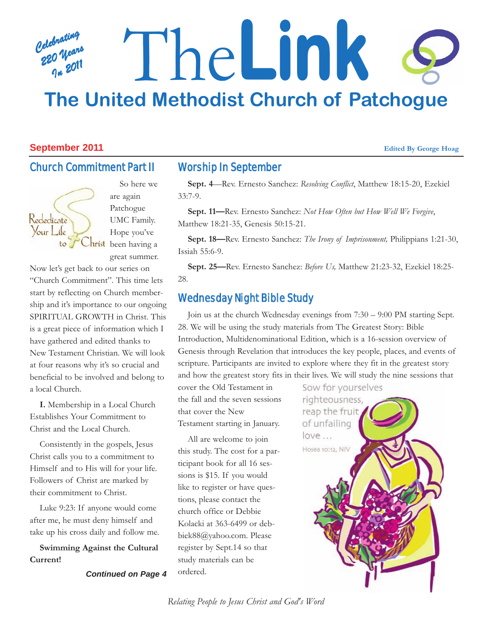# *Celebrating 220 Years In 2011* The**Link The United Methodist Church of Patchogue**

#### **September 2011 Edited By George Hoag**

Rededicate Your Life

# Church Commitment Part II

# Worship In September

**Sept. 4**—Rev. Ernesto Sanchez: *Resolving Conflict*, Matthew 18:15-20, Ezekiel 33:7-9.

**Sept. 11—**Rev. Ernesto Sanchez: *Not How Often but How Well We Forgive*, Matthew 18:21-35, Genesis 50:15-21.

**Sept. 18—**Rev. Ernesto Sanchez: *The Irony of Imprisonment,* Philippians 1:21-30, Issiah 55:6-9.

**Sept. 25—**Rev. Ernesto Sanchez: *Before Us,* Matthew 21:23-32, Ezekiel 18:25- 28.

# Wednesday Night Bible Study

Join us at the church Wednesday evenings from 7:30 – 9:00 PM starting Sept. 28. We will be using the study materials from The Greatest Story: Bible Introduction, Multidenominational Edition, which is a 16-session overview of Genesis through Revelation that introduces the key people, places, and events of scripture. Participants are invited to explore where they fit in the greatest story and how the greatest story fits in their lives. We will study the nine sessions that

cover the Old Testament in the fall and the seven sessions that cover the New Testament starting in January.

All are welcome to join this study. The cost for a participant book for all 16 sessions is \$15. If you would like to register or have questions, please contact the church office or Debbie Kolacki at 363-6499 or debbiek88@yahoo.com. Please register by Sept.14 so that study materials can be ordered.

Sow for yourselves righteousness, reap the fruit of unfailing love ... Hosea 10:12, NIV

UMC Family. Hope you've hrist been having a great summer. Now let's get back to our series on "Church Commitment". This time lets

are again Patchogue

So here we

start by reflecting on Church membership and it's importance to our ongoing SPIRITUAL GROWTH in Christ. This is a great piece of information which I have gathered and edited thanks to New Testament Christian. We will look at four reasons why it's so crucial and beneficial to be involved and belong to a local Church.

**I.** Membership in a Local Church Establishes Your Commitment to Christ and the Local Church.

Consistently in the gospels, Jesus Christ calls you to a commitment to Himself and to His will for your life. Followers of Christ are marked by their commitment to Christ.

Luke 9:23: If anyone would come after me, he must deny himself and take up his cross daily and follow me.

**Swimming Against the Cultural Current!**

*Continued on Page 4*

*Relating People to Jesus Christ and God's Word*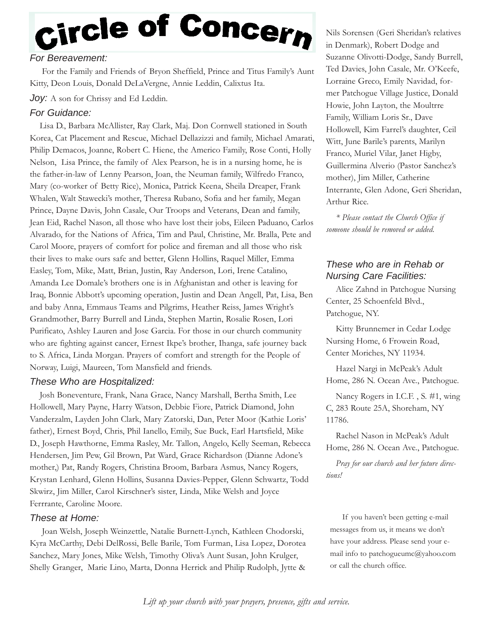# Circle of Concern

# *For Bereavement:*

For the Family and Friends of Bryon Sheffield, Prince and Titus Family's Aunt Kitty, Deon Louis, Donald DeLaVergne, Annie Leddin, Calixtus Ita.

#### Joy: A son for Chrissy and Ed Leddin.

# *For Guidance:*

Lisa D., Barbara McAllister, Ray Clark, Maj. Don Cornwell stationed in South Korea, Cat Placement and Rescue, Michael Dellazizzi and family, Michael Amarati, Philip Demacos, Joanne, Robert C. Hiene, the Americo Family, Rose Conti, Holly Nelson, Lisa Prince, the family of Alex Pearson, he is in a nursing home, he is the father-in-law of Lenny Pearson, Joan, the Neuman family, Wilfredo Franco, Mary (co-worker of Betty Rice), Monica, Patrick Keena, Sheila Dreaper, Frank Whalen, Walt Stawecki's mother, Theresa Rubano, Sofia and her family, Megan Prince, Dayne Davis, John Casale, Our Troops and Veterans, Dean and family, Jean Eid, Rachel Nason, all those who have lost their jobs, Eileen Paduano, Carlos Alvarado, for the Nations of Africa, Tim and Paul, Christine, Mr. Bralla, Pete and Carol Moore, prayers of comfort for police and fireman and all those who risk their lives to make ours safe and better, Glenn Hollins, Raquel Miller, Emma Easley, Tom, Mike, Matt, Brian, Justin, Ray Anderson, Lori, Irene Catalino, Amanda Lee Domale's brothers one is in Afghanistan and other is leaving for Iraq, Bonnie Abbott's upcoming operation, Justin and Dean Angell, Pat, Lisa, Ben and baby Anna, Emmaus Teams and Pilgrims, Heather Reiss, James Wright's Grandmother, Barry Burrell and Linda, Stephen Martin, Rosalie Rosen, Lori Purificato, Ashley Lauren and Jose Garcia. For those in our church community who are fighting against cancer, Ernest Ikpe's brother, Ihanga, safe journey back to S. Africa, Linda Morgan. Prayers of comfort and strength for the People of Norway, Luigi, Maureen, Tom Mansfield and friends.

## *These Who are Hospitalized:*

Josh Boneventure, Frank, Nana Grace, Nancy Marshall, Bertha Smith, Lee Hollowell, Mary Payne, Harry Watson, Debbie Fiore, Patrick Diamond, John Vanderzalm, Layden John Clark, Mary Zatorski, Dan, Peter Moor (Kathie Loris' father), Ernest Boyd, Chris, Phil Ianello, Emily, Sue Buck, Earl Hartsfield, Mike D., Joseph Hawthorne, Emma Rasley, Mr. Tallon, Angelo, Kelly Seeman, Rebecca Hendersen, Jim Pew, Gil Brown, Pat Ward, Grace Richardson (Dianne Adone's mother,) Pat, Randy Rogers, Christina Broom, Barbara Asmus, Nancy Rogers, Krystan Lenhard, Glenn Hollins, Susanna Davies-Pepper, Glenn Schwartz, Todd Skwirz, Jim Miller, Carol Kirschner's sister, Linda, Mike Welsh and Joyce Ferrrante, Caroline Moore.

## *These at Home:*

Joan Welsh, Joseph Weinzettle, Natalie Burnett-Lynch, Kathleen Chodorski, Kyra McCarthy, Debi DelRossi, Belle Barile, Tom Furman, Lisa Lopez, Dorotea Sanchez, Mary Jones, Mike Welsh, Timothy Oliva's Aunt Susan, John Krulger, Shelly Granger, Marie Lino, Marta, Donna Herrick and Philip Rudolph, Jytte &

Nils Sorensen (Geri Sheridan's relatives in Denmark), Robert Dodge and Suzanne Olivotti-Dodge, Sandy Burrell, Ted Davies, John Casale, Mr. O'Keefe, Lorraine Greco, Emily Navidad, former Patchogue Village Justice, Donald Howie, John Layton, the Moultrre Family, William Loris Sr., Dave Hollowell, Kim Farrel's daughter, Ceil Witt, June Barile's parents, Marilyn Franco, Muriel Vilar, Janet Higby, Guillermina Alverio (Pastor Sanchez's mother), Jim Miller, Catherine Interrante, Glen Adone, Geri Sheridan, Arthur Rice.

*\* Please contact the Church Office if someone should be removed or added.*

# *These who are in Rehab or Nursing Care Facilities:*

Alice Zahnd in Patchogue Nursing Center, 25 Schoenfeld Blvd., Patchogue, NY.

Kitty Brunnemer in Cedar Lodge Nursing Home, 6 Frowein Road, Center Moriches, NY 11934.

Hazel Nargi in McPeak's Adult Home, 286 N. Ocean Ave., Patchogue.

Nancy Rogers in I.C.F. , S. #1, wing C, 283 Route 25A, Shoreham, NY 11786.

Rachel Nason in McPeak's Adult Home, 286 N. Ocean Ave., Patchogue.

*Pray for our church and her future directions!*

If you haven't been getting e-mail messages from us, it means we don't have your address. Please send your email info to patchogueumc@yahoo.com or call the church office.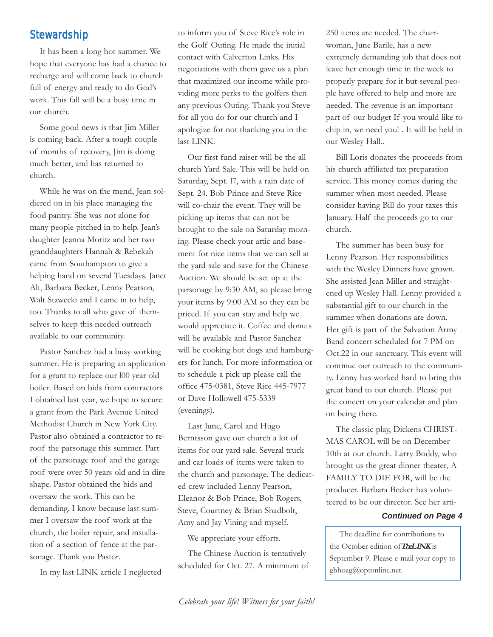# **Stewardship**

It has been a long hot summer. We hope that everyone has had a chance to recharge and will come back to church full of energy and ready to do God's work. This fall will be a busy time in our church.

Some good news is that Jim Miller is coming back. After a tough couple of months of recovery, Jim is doing much better, and has returned to church.

While he was on the mend, Jean soldiered on in his place managing the food pantry. She was not alone for many people pitched in to help. Jean's daughter Jeanna Moritz and her two granddaughters Hannah & Rebekah came from Southampton to give a helping hand on several Tuesdays. Janet Alt, Barbara Becker, Lenny Pearson, Walt Stawecki and I came in to help, too. Thanks to all who gave of themselves to keep this needed outreach available to our community.

Pastor Sanchez had a busy working summer. He is preparing an application for a grant to replace our l00 year old boiler. Based on bids from contractors I obtained last year, we hope to secure a grant from the Park Avenue United Methodist Church in New York City. Pastor also obtained a contractor to reroof the parsonage this summer. Part of the parsonage roof and the garage roof were over 50 years old and in dire shape. Pastor obtained the bids and oversaw the work. This can be demanding. I know because last summer I oversaw the roof work at the church, the boiler repair, and installation of a section of fence at the parsonage. Thank you Pastor.

In my last LINK article I neglected

to inform you of Steve Rice's role in the Golf Outing. He made the initial contact with Calverton Links. His negotiations with them gave us a plan that maximized our income while providing more perks to the golfers then any previous Outing. Thank you Steve for all you do for our church and I apologize for not thanking you in the last LINK.

Our first fund raiser will be the all church Yard Sale. This will be held on Saturday, Sept. l7, with a rain date of Sept. 24. Bob Prince and Steve Rice will co-chair the event. They will be picking up items that can not be brought to the sale on Saturday morning. Please check your attic and basement for nice items that we can sell at the yard sale and save for the Chinese Auction. We should be set up at the parsonage by 9:30 AM, so please bring your items by 9:00 AM so they can be priced. If you can stay and help we would appreciate it. Coffee and donuts will be available and Pastor Sanchez will be cooking hot dogs and hamburgers for lunch. For more information or to schedule a pick up please call the office 475-0381, Steve Rice 445-7977 or Dave Hollowell 475-5339 (evenings).

Last June, Carol and Hugo Berntsson gave our church a lot of items for our yard sale. Several truck and car loads of items were taken to the church and parsonage. The dedicated crew included Lenny Pearson, Eleanor & Bob Prince, Bob Rogers, Steve, Courtney & Brian Shadbolt, Amy and Jay Vining and myself.

We appreciate your efforts.

The Chinese Auction is tentatively scheduled for Oct. 27. A minimum of 250 items are needed. The chairwoman, June Barile, has a new extremely demanding job that does not leave her enough time in the week to properly prepare for it but several people have offered to help and more are needed. The revenue is an important part of our budget If you would like to chip in, we need you! . It will be held in our Wesley Hall..

Bill Loris donates the proceeds from his church affiliated tax preparation service. This money comes during the summer when most needed. Please consider having Bill do your taxes this January. Half the proceeds go to our church.

The summer has been busy for Lenny Pearson. Her responsibilities with the Wesley Dinners have grown. She assisted Jean Miller and straightened up Wesley Hall. Lenny provided a substantial gift to our church in the summer when donations are down. Her gift is part of the Salvation Army Band concert scheduled for 7 PM on Oct.22 in our sanctuary. This event will continue our outreach to the community. Lenny has worked hard to bring this great band to our church. Please put the concert on your calendar and plan on being there.

The classic play, Dickens CHRIST-MAS CAROL will be on December 10th at our church. Larry Boddy, who brought us the great dinner theater, A FAMILY TO DIE FOR, will be the producer. Barbara Becker has volunteered to be our director. See her arti-

#### *Continued on Page 4*

The deadline for contributions to the October edition of**TheLINK** is September 9. Please e-mail your copy to gbhoag@optonline.net.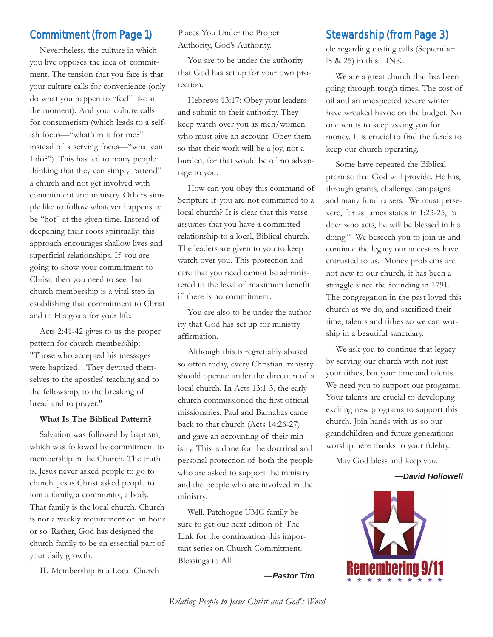# Commitment (from Page 1)

Nevertheless, the culture in which you live opposes the idea of commitment. The tension that you face is that your culture calls for convenience (only do what you happen to "feel" like at the moment). And your culture calls for consumerism (which leads to a selfish focus—"what's in it for me?" instead of a serving focus—"what can I do?"). This has led to many people thinking that they can simply "attend" a church and not get involved with commitment and ministry. Others simply like to follow whatever happens to be "hot" at the given time. Instead of deepening their roots spiritually, this approach encourages shallow lives and superficial relationships. If you are going to show your commitment to Christ, then you need to see that church membership is a vital step in establishing that commitment to Christ and to His goals for your life.

Acts 2:41-42 gives to us the proper pattern for church membership: "Those who accepted his messages were baptized…They devoted themselves to the apostles' teaching and to the fellowship, to the breaking of bread and to prayer."

#### **What Is The Biblical Pattern?**

Salvation was followed by baptism, which was followed by commitment to membership in the Church. The truth is, Jesus never asked people to go to church. Jesus Christ asked people to join a family, a community, a body. That family is the local church. Church is not a weekly requirement of an hour or so. Rather, God has designed the church family to be an essential part of your daily growth.

**II.** Membership in a Local Church

Places You Under the Proper Authority, God's Authority.

You are to be under the authority that God has set up for your own protection.

Hebrews 13:17: Obey your leaders and submit to their authority. They keep watch over you as men/women who must give an account. Obey them so that their work will be a joy, not a burden, for that would be of no advantage to you.

How can you obey this command of Scripture if you are not committed to a local church? It is clear that this verse assumes that you have a committed relationship to a local, Biblical church. The leaders are given to you to keep watch over you. This protection and care that you need cannot be administered to the level of maximum benefit if there is no commitment.

You are also to be under the authority that God has set up for ministry affirmation.

Although this is regrettably abused so often today, every Christian ministry should operate under the direction of a local church. In Acts 13:1-3, the early church commissioned the first official missionaries. Paul and Barnabas came back to that church (Acts 14:26-27) and gave an accounting of their ministry. This is done for the doctrinal and personal protection of both the people who are asked to support the ministry and the people who are involved in the ministry.

Well, Patchogue UMC family be sure to get our next edition of The Link for the continuation this important series on Church Commitment. Blessings to All!

*—Pastor Tito*

# Stewardship (from Page 3)

cle regarding casting calls (September l8 & 25) in this LINK.

We are a great church that has been going through tough times. The cost of oil and an unexpected severe winter have wreaked havoc on the budget. No one wants to keep asking you for money. It is crucial to find the funds to keep our church operating.

Some have repeated the Biblical promise that God will provide. He has, through grants, challenge campaigns and many fund raisers. We must persevere, for as James states in 1:23-25, "a doer who acts, he will be blessed in his doing." We beseech you to join us and continue the legacy our ancesters have entrusted to us. Money problems are not new to our church, it has been a struggle since the founding in 1791. The congregation in the past loved this church as we do, and sacrificed their time, talents and tithes so we can worship in a beautiful sanctuary.

We ask you to continue that legacy by serving our church with not just your tithes, but your time and talents. We need you to support our programs. Your talents are crucial to developing exciting new programs to support this church. Join hands with us so our grandchildren and future generations worship here thanks to your fidelity.

May God bless and keep you.

*—David Hollowell*



*Relating People to Jesus Christ and God's Word*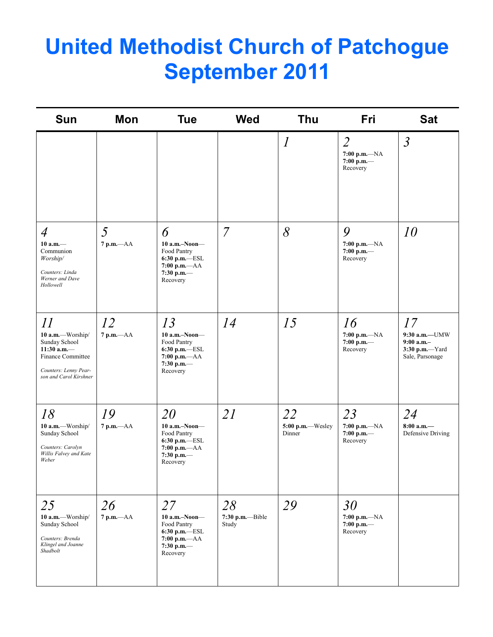# **United Methodist Church of Patchogue September 2011**

| <b>Sun</b>                                                                                                                            | Mon                | <b>Tue</b>                                                                                                  | <b>Wed</b>                      | <b>Thu</b>                       | <b>Fri</b>                                                    | <b>Sat</b>                                                                 |
|---------------------------------------------------------------------------------------------------------------------------------------|--------------------|-------------------------------------------------------------------------------------------------------------|---------------------------------|----------------------------------|---------------------------------------------------------------|----------------------------------------------------------------------------|
|                                                                                                                                       |                    |                                                                                                             |                                 | $\boldsymbol{l}$                 | $\overline{2}$<br>$7:00 p.m. -NA$<br>$7:00$ p.m.-<br>Recovery | $\mathfrak{Z}$                                                             |
| $\overline{4}$<br>10 a.m.<br>Communion<br>Worship/<br>Counters: Linda<br>Werner and Dave<br>Hollowell                                 | 5<br>$7 p.m. -AA$  | 6<br>$10$ a.m.-Noon-<br>Food Pantry<br>6:30 p.m.-ESL<br>$7:00 p.m. -AA$<br>7:30 p.m.-<br>Recovery           | $\overline{7}$                  | 8                                | 9<br>$7:00 p.m. -NA$<br>$7:00$ p.m.-<br>Recovery              | 10                                                                         |
| $\iint$<br>10 a.m.-Worship/<br>Sunday School<br>$11:30$ a.m.-<br>Finance Committee<br>Counters: Lenny Pear-<br>son and Carol Kirshner | 12<br>$7 p.m. -AA$ | 13<br>$10$ a.m.-Noon-<br>Food Pantry<br>$6:30$ p.m. $-$ ESL<br>$7:00 p.m. -AA$<br>$7:30$ p.m.-<br>Recovery  | 14                              | 15                               | 16<br>$7:00 p.m. -NA$<br>$7:00$ p.m.-<br>Recovery             | 17<br>9:30 a.m.-UMW<br>$9:00$ a.m.-<br>$3:30$ p.m.-Yard<br>Sale, Parsonage |
| 18<br>10 a.m.-Worship/<br>Sunday School<br>Counters: Carolyn<br>Willis Falvey and Kate<br>Weber                                       | 19<br>$7 p.m. -AA$ | 20<br>$10$ a.m.-Noon-<br>Food Pantry<br>$6:30$ p.m.- $-$ ESL<br>$7:00 p.m. -AA$<br>$7:30$ p.m.-<br>Recovery | 21                              | 22<br>5:00 p.m.-Wesley<br>Dinner | 23<br>$7:00 p.m. -NA$<br>$7:00$ p.m.-<br>Recovery             | 24<br>$8:00$ a.m.-<br>Defensive Driving                                    |
| 25<br>10 a.m.-Worship/<br>Sunday School<br>Counters: Brenda<br>Klingel and Joanne<br>Shadbolt                                         | 26<br>7 p.m.-- AA  | 27<br>10 a.m.-Noon-<br>Food Pantry<br>$6:30$ p.m. $-$ ESL<br>$7:00 p.m. -AA$<br>7:30 p.m.—<br>Recovery      | 28<br>7:30 p.m.--Bible<br>Study | 29                               | 30<br>$7:00 p.m. -NA$<br>$7:00$ p.m.-<br>Recovery             |                                                                            |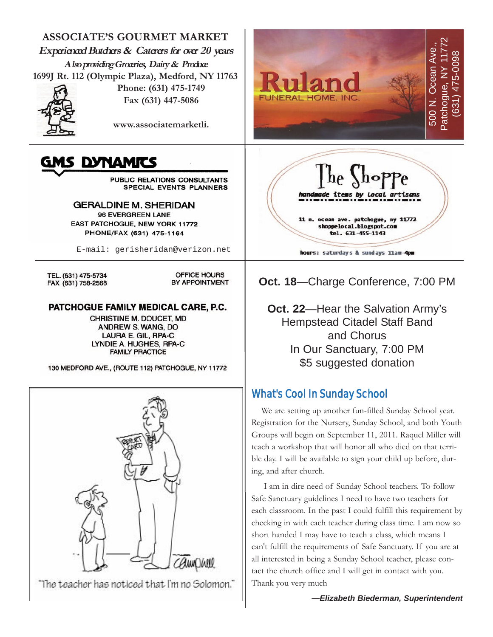

#### *—Elizabeth Biederman, Superintendent*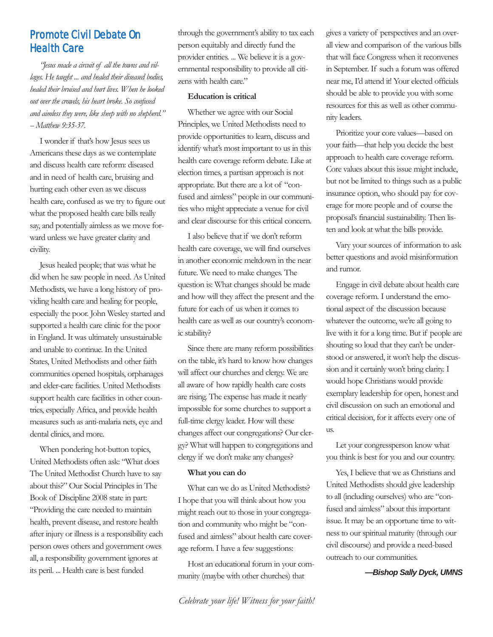# Promote Civil Debate On Health Care

*"Jesus made a circuit of all the towns and villages. He taught ... and healed their diseased bodies, healed their bruised and hurt lives. When he looked out over the crowds, his heart broke. So confused and aimless they were, like sheep with no shepherd." -- Matthew 9:35-37.*

I wonder if that's how Jesus sees us Americans these days as we contemplate and discuss health care reform: diseased and in need of health care, bruising and hurting each other even as we discuss health care, confused as we try to figure out what the proposed health care bills really say, and potentially aimless as we move forward unless we have greater clarity and civility.

Jesus healed people; that was what he did when he saw people in need. As United Methodists, we have a long history of providing health care and healing for people, especially the poor. John Wesley started and supported a health care clinic for the poor in England. It was ultimately unsustainable and unable to continue. In the United States, United Methodists and other faith communities opened hospitals, orphanages and elder-care facilities. United Methodists support health care facilities in other countries, especially Africa, and provide health measures such as anti-malaria nets, eye and dental clinics, and more.

When pondering hot-button topics, United Methodists often ask: "What does The United Methodist Church have to say about this?" Our Social Principles in The Book of Discipline 2008 state in part: "Providing the care needed to maintain health, prevent disease, and restore health after injury or illness is a responsibility each person owes others and government owes all, a responsibility government ignores at its peril. ... Health care is best funded

through the government's ability to tax each person equitably and directly fund the provider entities. ... We believe it is a governmental responsibility to provide all citizens with health care."

#### **Education is critical**

Whether we agree with our Social Principles, we United Methodists need to provide opportunities to learn, discuss and identify what's most important to us in this health care coverage reform debate. Like at election times, a partisan approach is not appropriate. But there are a lot of "confused and aimless" people in our communities who might appreciate a venue for civil and clear discourse for this critical concern.

I also believe that if we don't reform health care coverage, we will find ourselves in another economic meltdown in the near future. We need to make changes. The question is: What changes should be made and how will they affect the present and the future for each of us when it comes to health care as well as our country's economic stability?

Since there are many reform possibilities on the table, it's hard to know how changes will affect our churches and clergy. We are all aware of how rapidly health care costs are rising. The expense has made it nearly impossible for some churches to support a full-time clergy leader. How will these changes affect our congregations? Our clergy? What will happen to congregations and clergy if we don't make any changes?

#### **What you can do**

What can we do as United Methodists? I hope that you will think about how you might reach out to those in your congregation and community who might be "confused and aimless" about health care coverage reform. I have a few suggestions:

Host an educational forum in your community (maybe with other churches) that

gives a variety of perspectives and an overall view and comparison of the various bills that will face Congress when it reconvenes in September. If such a forum was offered near me, I'd attend it! Your elected officials should be able to provide you with some resources for this as well as other community leaders.

Prioritize your core values—based on your faith—that help you decide the best approach to health care coverage reform. Core values about this issue might include, but not be limited to things such as a public insurance option, who should pay for coverage for more people and of course the proposal's financial sustainability. Then listen and look at what the bills provide.

Vary your sources of information to ask better questions and avoid misinformation and rumor.

Engage in civil debate about health care coverage reform. I understand the emotional aspect of the discussion because whatever the outcome, we're all going to live with it for a long time. But if people are shouting so loud that they can't be understood or answered, it won't help the discussion and it certainly won't bring clarity. I would hope Christians would provide exemplary leadership for open, honest and civil discussion on such an emotional and critical decision, for it affects every one of us.

Let your congressperson know what you think is best for you and our country.

Yes, I believe that we as Christians and United Methodists should give leadership to all (including ourselves) who are "confused and aimless" about this important issue. It may be an opportune time to witness to our spiritual maturity (through our civil discourse) and provide a need-based outreach to our communities.

*—Bishop Sally Dyck, UMNS*